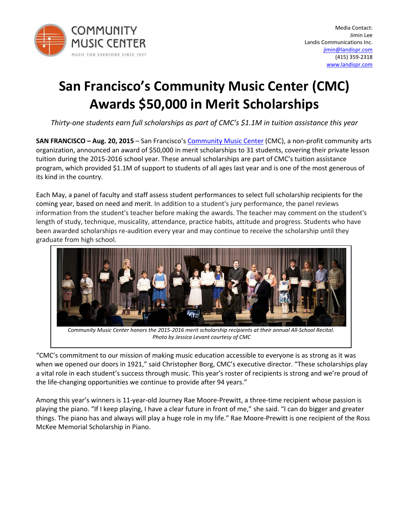

## **San Francisco's Community Music Center (CMC) Awards \$50,000 in Merit Scholarships**

*Thirty-one students earn full scholarships as part of CMC's \$1.1M in tuition assistance this year*

**SAN FRANCISCO – Aug. 20, 2015** – San Francisco's [Community Music Center](http://bit.ly/cmcmerit) (CMC), a non-profit community arts organization, announced an award of \$50,000 in merit scholarships to 31 students, covering their private lesson tuition during the 2015-2016 school year. These annual scholarships are part of CMC's tuition assistance program, which provided \$1.1M of support to students of all ages last year and is one of the most generous of its kind in the country.

Each May, a panel of faculty and staff assess student performances to select full scholarship recipients for the coming year, based on need and merit. In addition to a student's jury performance, the panel reviews information from the student's teacher before making the awards. The teacher may comment on the student's length of study, technique, musicality, attendance, practice habits, attitude and progress. Students who have been awarded scholarships re-audition every year and may continue to receive the scholarship until they graduate from high school.



*Community Music Center honors the 2015-2016 merit scholarship recipients at their annual All-School Recital. Photo by Jessica Levant courtesy of CMC*

"CMC's commitment to our mission of making music education accessible to everyone is as strong as it was when we opened our doors in 1921," said Christopher Borg, CMC's executive director. "These scholarships play a vital role in each student's success through music. This year's roster of recipients is strong and we're proud of the life-changing opportunities we continue to provide after 94 years."

Among this year's winners is 11-year-old Journey Rae Moore-Prewitt, a three-time recipient whose passion is playing the piano. "If I keep playing, I have a clear future in front of me," she said. "I can do bigger and greater things. The piano has and always will play a huge role in my life." Rae Moore-Prewitt is one recipient of the Ross McKee Memorial Scholarship in Piano.